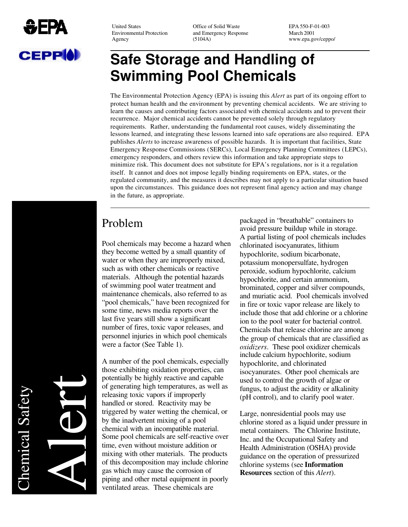

Environmental Protection and Emergency Response March 2001<br>Agency (5104A) www.ena.go

United States **Office of Solid Waste EPA 550-F-01-003** Agency (5104A) www.epa.gov/ceppo/

# **Safe Storage and Handling of Swimming Pool Chemicals**

The Environmental Protection Agency (EPA) is issuing this *Alert* as part of its ongoing effort to protect human health and the environment by preventing chemical accidents. We are striving to learn the causes and contributing factors associated with chemical accidents and to prevent their recurrence. Major chemical accidents cannot be prevented solely through regulatory requirements. Rather, understanding the fundamental root causes, widely disseminating the lessons learned, and integrating these lessons learned into safe operations are also required. EPA publishes *Alerts* to increase awareness of possible hazards. It is important that facilities, State Emergency Response Commissions (SERCs), Local Emergency Planning Committees (LEPCs), emergency responders, and others review this information and take appropriate steps to minimize risk. This document does not substitute for EPA's regulations, nor is it a regulation itself. It cannot and does not impose legally binding requirements on EPA, states, or the regulated community, and the measures it describes may not apply to a particular situation based upon the circumstances. This guidance does not represent final agency action and may change in the future, as appropriate.

### Problem

Pool chemicals may become a hazard when they become wetted by a small quantity of water or when they are improperly mixed, such as with other chemicals or reactive materials. Although the potential hazards of swimming pool water treatment and maintenance chemicals, also referred to as "pool chemicals," have been recognized for some time, news media reports over the last five years still show a significant number of fires, toxic vapor releases, and personnel injuries in which pool chemicals were a factor (See Table 1).

A number of the pool chemicals, especially those exhibiting oxidation properties, can potentially be highly reactive and capable of generating high temperatures, as well as releasing toxic vapors if improperly handled or stored. Reactivity may be triggered by water wetting the chemical, or by the inadvertent mixing of a pool chemical with an incompatible material. Some pool chemicals are self-reactive over time, even without moisture addition or mixing with other materials. The products of this decomposition may include chlorine gas which may cause the corrosion of piping and other metal equipment in poorly ventilated areas. These chemicals are

packaged in "breathable" containers to avoid pressure buildup while in storage. A partial listing of pool chemicals includes chlorinated isocyanurates, lithium hypochlorite, sodium bicarbonate, potassium monopersulfate, hydrogen peroxide, sodium hypochlorite, calcium hypochlorite, and certain ammonium, brominated, copper and silver compounds, and muriatic acid. Pool chemicals involved in fire or toxic vapor release are likely to include those that add chlorine or a chlorine ion to the pool water for bacterial control. Chemicals that release chlorine are among the group of chemicals that are classified as *oxidizers*. These pool oxidizer chemicals include calcium hypochlorite, sodium hypochlorite, and chlorinated isocyanurates. Other pool chemicals are used to control the growth of algae or fungus, to adjust the acidity or alkalinity (pH control), and to clarify pool water.

Large, nonresidential pools may use chlorine stored as a liquid under pressure in metal containers. The Chlorine Institute, Inc. and the Occupational Safety and Health Administration (OSHA) provide guidance on the operation of pressurized chlorine systems (see **Information Resources** section of this *Alert*).

**Chemical Safety** Chemical Safety

Alert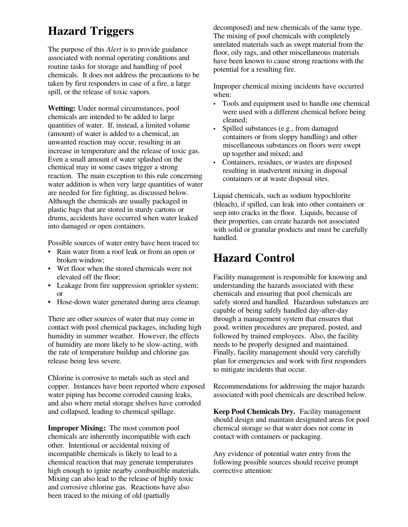# **Hazard Triggers**

The purpose of this *Alert* is to provide guidance associated with normal operating conditions and routine tasks for storage and handling of pool chemicals. It does not address the precautions to be taken by first responders in case of a fire, a large spill, or the release of toxic vapors.

**Wetting:** Under normal circumstances, pool chemicals are intended to be added to large quantities of water. If, instead, a limited volume (amount) of water is added to a chemical, an unwanted reaction may occur, resulting in an increase in temperature and the release of toxic gas. Even a small amount of water splashed on the chemical may in some cases trigger a strong reaction. The main exception to this rule concerning water addition is when very large quantities of water are needed for fire fighting, as discussed below. Although the chemicals are usually packaged in plastic bags that are stored in sturdy cartons or drums, accidents have occurred when water leaked into damaged or open containers.

Possible sources of water entry have been traced to:

- Rain water from a roof leak or from an open or broken window;
- Wet floor when the stored chemicals were not elevated off the floor;
- Leakage from fire suppression sprinkler system; or
- Hose-down water generated during area cleanup.

There are other sources of water that may come in contact with pool chemical packages, including high humidity in summer weather. However, the effects of humidity are more likely to be slowacting, with the rate of temperature buildup and chlorine gas release being less severe.

Chlorine is corrosive to metals such as steel and copper. Instances have been reported where exposed water piping has become corroded causing leaks, and also where metal storage shelves have corroded and collapsed, leading to chemical spillage.

**Improper Mixing:** The most common pool chemicals are inherently incompatible with each other. Intentional or accidental mixing of incompatible chemicals is likely to lead to a chemical reaction that may generate temperatures high enough to ignite nearby combustible materials. Mixing can also lead to the release of highly toxic and corrosive chlorine gas. Reactions have also been traced to the mixing of old (partially

decomposed) and new chemicals of the same type. The mixing of pool chemicals with completely unrelated materials such as swept material from the floor, oily rags, and other miscellaneous materials have been known to cause strong reactions with the potential for a resulting fire.

Improper chemical mixing incidents have occurred when:

- Tools and equipment used to handle one chemical were used with a different chemical before being cleaned;
- Spilled substances (e.g., from damaged containers or from sloppy handling) and other miscellaneous substances on floors were swept up together and mixed; and
- Containers, residues, or wastes are disposed resulting in inadvertent mixing in disposal containers or at waste disposal sites.

Liquid chemicals, such as sodium hypochlorite (bleach), if spilled, can leak into other containers or seep into cracks in the floor. Liquids, because of their properties, can create hazards not associated with solid or granular products and must be carefully handled.

### **Hazard Control**

Facility management is responsible for knowing and understanding the hazards associated with these chemicals and ensuring that pool chemicals are safely stored and handled. Hazardous substances are capable of being safely handled day-after-day through a management system that ensures that good, written procedures are prepared, posted, and followed by trained employees. Also, the facility needs to be properly designed and maintained. Finally, facility management should very carefully plan for emergencies and work with first responders to mitigate incidents that occur.

Recommendations for addressing the major hazards associated with pool chemicals are described below.

**Keep Pool Chemicals Dry.** Facility management should design and maintain designated areas for pool chemical storage so that water does not come in contact with containers or packaging.

Any evidence of potential water entry from the following possible sources should receive prompt corrective attention: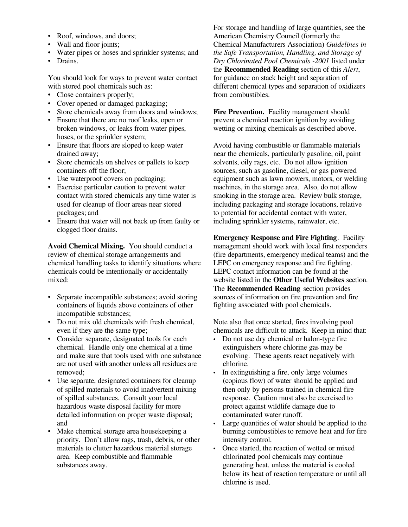- Roof, windows, and doors;
- Wall and floor joints;
- Water pipes or hoses and sprinkler systems; and
- Drains.

You should look for ways to prevent water contact with stored pool chemicals such as:

- Close containers properly;
- Cover opened or damaged packaging;
- Store chemicals away from doors and windows;
- Ensure that there are no roof leaks, open or broken windows, or leaks from water pipes, hoses, or the sprinkler system;
- Ensure that floors are sloped to keep water drained away;
- Store chemicals on shelves or pallets to keep containers off the floor;
- Use waterproof covers on packaging;
- Exercise particular caution to prevent water contact with stored chemicals any time water is used for cleanup of floor areas near stored packages; and
- Ensure that water will not back up from faulty or clogged floor drains.

**Avoid Chemical Mixing.** You should conduct a review of chemical storage arrangements and chemical handling tasks to identify situations where chemicals could be intentionally or accidentally mixed:

- Separate incompatible substances; avoid storing containers of liquids above containers of other incompatible substances;
- Do not mix old chemicals with fresh chemical, even if they are the same type;
- Consider separate, designated tools for each chemical. Handle only one chemical at a time and make sure that tools used with one substance are not used with another unless all residues are removed;
- Use separate, designated containers for cleanup of spilled materials to avoid inadvertent mixing of spilled substances. Consult your local hazardous waste disposal facility for more detailed information on proper waste disposal; and
- Make chemical storage area housekeeping a priority. Don't allow rags, trash, debris, or other materials to clutter hazardous material storage area. Keep combustible and flammable substances away.

For storage and handling of large quantities, see the American Chemistry Council (formerly the Chemical Manufacturers Association) *Guidelines in the Safe Transportation, Handling, and Storage of Dry Chlorinated Pool Chemicals 2001* listed under the **Recommended Reading** section of this *Alert*, for guidance on stack height and separation of different chemical types and separation of oxidizers from combustibles.

Fire Prevention. Facility management should prevent a chemical reaction ignition by avoiding wetting or mixing chemicals as described above.

Avoid having combustible or flammable materials near the chemicals, particularly gasoline, oil, paint solvents, oily rags, etc. Do not allow ignition sources, such as gasoline, diesel, or gas powered equipment such as lawn mowers, motors, or welding machines, in the storage area. Also, do not allow smoking in the storage area. Review bulk storage, including packaging and storage locations, relative to potential for accidental contact with water, including sprinkler systems, rainwater, etc.

**Emergency Response and Fire Fighting**. Facility management should work with local first responders (fire departments, emergency medical teams) and the LEPC on emergency response and fire fighting. LEPC contact information can be found at the website listed in the **Other Useful Websites** section. The **Recommended Reading** section provides sources of information on fire prevention and fire fighting associated with pool chemicals.

Note also that once started, fires involving pool chemicals are difficult to attack. Keep in mind that:

- Do not use dry chemical or halon-type fire extinguishers where chlorine gas may be evolving. These agents react negatively with chlorine.
- In extinguishing a fire, only large volumes (copious flow) of water should be applied and then only by persons trained in chemical fire response. Caution must also be exercised to protect against wildlife damage due to contaminated water runoff.
- Large quantities of water should be applied to the burning combustibles to remove heat and for fire intensity control.
- Once started, the reaction of wetted or mixed chlorinated pool chemicals may continue generating heat, unless the material is cooled below its heat of reaction temperature or until all chlorine is used.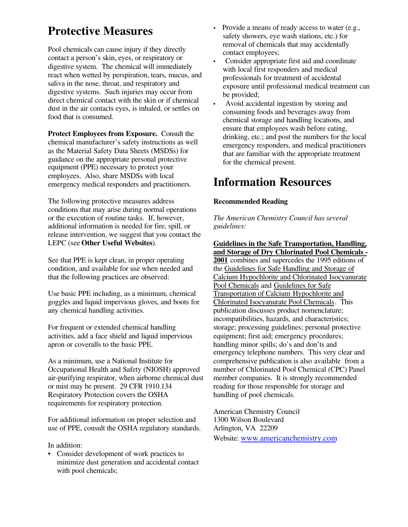# **Protective Measures**

Pool chemicals can cause injury if they directly contact a person's skin, eyes, or respiratory or digestive system. The chemical will immediately react when wetted by perspiration, tears, mucus, and saliva in the nose, throat, and respiratory and digestive systems. Such injuries may occur from direct chemical contact with the skin or if chemical dust in the air contacts eyes, is inhaled, or settles on food that is consumed.

**Protect Employees from Exposure.** Consult the chemical manufacturer's safety instructions as well as the Material Safety Data Sheets (MSDSs) for guidance on the appropriate personal protective equipment (PPE) necessary to protect your employees. Also, share MSDSs with local emergency medical responders and practitioners.

The following protective measures address conditions that may arise during normal operations or the execution of routine tasks. If, however, additional information is needed for fire, spill, or release intervention, we suggest that you contact the LEPC (see **Other Useful Websites**).

See that PPE is kept clean, in proper operating condition, and available for use when needed and that the following practices are observed:

Use basic PPE including, as a minimum, chemical goggles and liquid impervious gloves, and boots for any chemical handling activities.

For frequent or extended chemical handling activities, add a face shield and liquid impervious apron or coveralls to the basic PPE.

As a minimum, use a National Institute for Occupational Health and Safety (NIOSH) approved air-purifying respirator, when airborne chemical dust or mist may be present. 29 CFR 1910.134 Respiratory Protection covers the OSHA requirements for respiratory protection.

For additional information on proper selection and use of PPE, consult the OSHA regulatory standards.

#### In addition:

• Consider development of work practices to minimize dust generation and accidental contact with pool chemicals;

- Provide a means of ready access to water (e.g., safety showers, eye wash stations, etc.) for removal of chemicals that may accidentally contact employees;
- Consider appropriate first aid and coordinate with local first responders and medical professionals for treatment of accidental exposure until professional medical treatment can be provided;
- Avoid accidental ingestion by storing and consuming foods and beverages away from chemical storage and handling locations, and ensure that employees wash before eating, drinking, etc.; and post the numbers for the local emergency responders, and medical practitioners that are familiar with the appropriate treatment for the chemical present.

### **Information Resources**

#### **Recommended Reading**

*The American Chemistry Council has several guidelines:* 

**Guidelines in the Safe Transportation, Handling, and Storage of Dry Chlorinated Pool Chemicals 2001** combines and supercedes the 1995 editions of the Guidelines for Safe Handling and Storage of Calcium Hypochlorite and Chlorinated Isocyanurate Pool Chemicals and Guidelines for Safe Transportation of Calcium Hypochlorite and Chlorinated Isocyanurate Pool Chemicals. This publication discusses product nomenclature; incompatibilities, hazards, and characteristics; storage; processing guidelines; personal protective equipment; first aid; emergency procedures; handling minor spills; do's and don'ts and emergency telephone numbers. This very clear and comprehensive publication is also available from a number of Chlorinated Pool Chemical (CPC) Panel member companies. It is strongly recommended reading for those responsible for storage and handling of pool chemicals.

American Chemistry Council 1300 Wilson Boulevard Arlington, VA 22209 Website: www.americanchemistry.com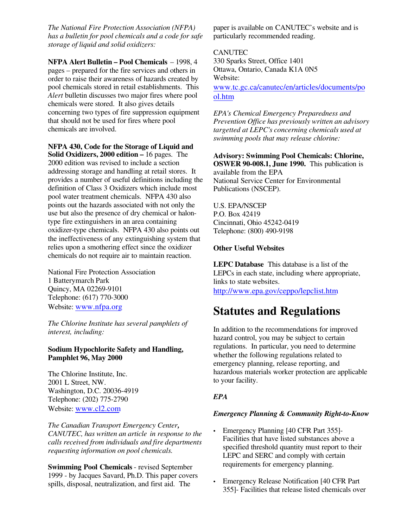*The National Fire Protection Association (NFPA) has a bulletin for pool chemicals and a code for safe storage of liquid and solid oxidizers:* 

**NFPA Alert Bulletin – Pool Chemicals** – 1998, 4 pages – prepared for the fire services and others in order to raise their awareness of hazards created by pool chemicals stored in retail establishments. This *Alert* bulletin discusses two major fires where pool chemicals were stored. It also gives details concerning two types of fire suppression equipment that should not be used for fires where pool chemicals are involved.

**NFPA 430, Code for the Storage of Liquid and Solid Oxidizers, 2000 edition –** 16 pages. The 2000 edition was revised to include a section addressing storage and handling at retail stores. It provides a number of useful definitions including the definition of Class 3 Oxidizers which include most pool water treatment chemicals. NFPA 430 also points out the hazards associated with not only the use but also the presence of dry chemical or halontype fire extinguishers in an area containing oxidizer-type chemicals. NFPA 430 also points out the ineffectiveness of any extinguishing system that relies upon a smothering effect since the oxidizer chemicals do not require air to maintain reaction.

National Fire Protection Association 1 Batterymarch Park Quincy, MA 02269-9101 Telephone: (617) 770-3000 Website: www.nfpa.org

*The Chlorine Institute has several pamphlets of interest, including:* 

#### **Sodium Hypochlorite Safety and Handling, Pamphlet 96, May 2000**

The Chlorine Institute, Inc. 2001 L Street, NW. Washington, D.C. 20036-4919 Telephone: (202) 775-2790 Website: www.cl2.com

*The Canadian Transport Emergency Center, CANUTEC, has written an article in response to the calls received from individuals and fire departments requesting information on pool chemicals.* 

**Swimming Pool Chemicals - revised September** 1999 - by Jacques Savard, Ph.D. This paper covers spills, disposal, neutralization, and first aid. The

paper is available on CANUTEC's website and is particularly recommended reading.

#### **CANUTEC**

330 Sparks Street, Office 1401 Ottawa, Ontario, Canada K1A 0N5 Website:

www.tc.gc.ca/canutec/en/articles/documents/po ol.htm

*EPA's Chemical Emergency Preparedness and Prevention Office has previously written an advisory targetted at LEPC's concerning chemicals used at swimming pools that may release chlorine:* 

**Advisory: Swimming Pool Chemicals: Chlorine, OSWER 90-008.1, June 1990.** This publication is available from the EPA National Service Center for Environmental

Publications (NSCEP).

U.S. EPA/NSCEP P.O. Box 42419 Cincinnati, Ohio 45242-0419 Telephone: (800) 490-9198

#### **Other Useful Websites**

**LEPC Database** This database is a list of the LEPCs in each state, including where appropriate, links to state websites. http://www.epa.gov/ceppo/lepclist.htm

### **Statutes and Regulations**

In addition to the recommendations for improved hazard control, you may be subject to certain regulations. In particular, you need to determine whether the following regulations related to emergency planning, release reporting, and hazardous materials worker protection are applicable to your facility.

#### *EPA*

#### *Emergency Planning & Community Right-to-Know*

- Emergency Planning [40 CFR Part 355]-Facilities that have listed substances above a specified threshold quantity must report to their LEPC and SERC and comply with certain requirements for emergency planning.
- Emergency Release Notification [40 CFR Part 355] Facilities that release listed chemicals over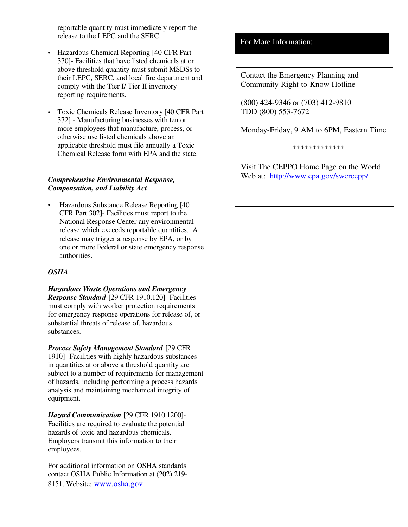reportable quantity must immediately report the release to the LEPC and the SERC.

- Hazardous Chemical Reporting [40 CFR Part] 370]- Facilities that have listed chemicals at or above threshold quantity must submit MSDSs to their LEPC, SERC, and local fire department and comply with the Tier I/ Tier II inventory reporting requirements.
- Toxic Chemicals Release Inventory [40 CFR Part 372] Manufacturing businesses with ten or more employees that manufacture, process, or otherwise use listed chemicals above an applicable threshold must file annually a Toxic Chemical Release form with EPA and the state.

#### *Comprehensive Environmental Response, Compensation, and Liability Act*

• Hazardous Substance Release Reporting [40 CFR Part 302]- Facilities must report to the National Response Center any environmental release which exceeds reportable quantities. A release may trigger a response by EPA, or by one or more Federal or state emergency response authorities.

#### *OSHA*

*Hazardous Waste Operations and Emergency Response Standard* [29 CFR 1910.120]- Facilities must comply with worker protection requirements for emergency response operations for release of, or substantial threats of release of, hazardous substances.

*Process Safety Management Standard* [29 CFR 1910] Facilities with highly hazardous substances in quantities at or above a threshold quantity are subject to a number of requirements for management of hazards, including performing a process hazards analysis and maintaining mechanical integrity of equipment.

*Hazard Communication* [29 CFR 1910.1200] Facilities are required to evaluate the potential hazards of toxic and hazardous chemicals. Employers transmit this information to their employees.

For additional information on OSHA standards contact OSHA Public Information at (202) 219 8151. Website: www.osha.gov

#### For More Information:

Contact the Emergency Planning and Community Right-to-Know Hotline

(800) 424-9346 or (703) 412-9810 TDD (800) 553-7672

Monday-Friday, 9 AM to 6PM, Eastern Time

\*\*\*\*\*\*\*\*\*\*\*\*\*

Visit The CEPPO Home Page on the World Web at: http://www.epa.gov/swercepp/